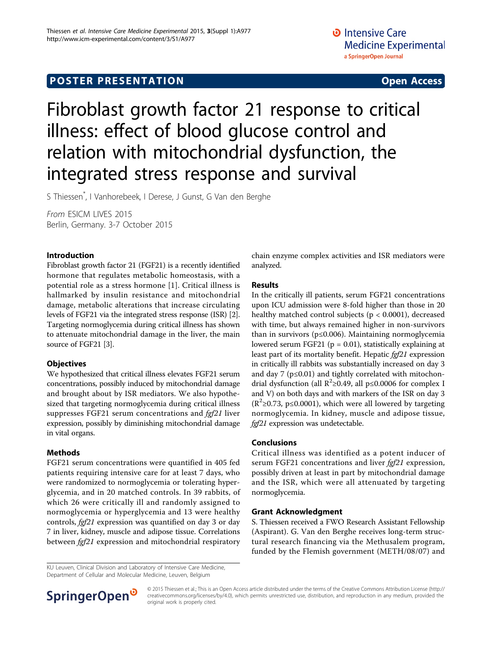## **POSTER PRESENTATION CONSUMING ACCESS**

# Fibroblast growth factor 21 response to critical illness: effect of blood glucose control and relation with mitochondrial dysfunction, the integrated stress response and survival

S Thiessen\* , I Vanhorebeek, I Derese, J Gunst, G Van den Berghe

From ESICM LIVES 2015 Berlin, Germany. 3-7 October 2015

#### Introduction

Fibroblast growth factor 21 (FGF21) is a recently identified hormone that regulates metabolic homeostasis, with a potential role as a stress hormone [[1\]](#page-1-0). Critical illness is hallmarked by insulin resistance and mitochondrial damage, metabolic alterations that increase circulating levels of FGF21 via the integrated stress response (ISR) [[2](#page-1-0)]. Targeting normoglycemia during critical illness has shown to attenuate mitochondrial damage in the liver, the main source of FGF21 [\[3](#page-1-0)].

### **Objectives**

We hypothesized that critical illness elevates FGF21 serum concentrations, possibly induced by mitochondrial damage and brought about by ISR mediators. We also hypothesized that targeting normoglycemia during critical illness suppresses FGF21 serum concentrations and *fgf21* liver expression, possibly by diminishing mitochondrial damage in vital organs.

### Methods

FGF21 serum concentrations were quantified in 405 fed patients requiring intensive care for at least 7 days, who were randomized to normoglycemia or tolerating hyperglycemia, and in 20 matched controls. In 39 rabbits, of which 26 were critically ill and randomly assigned to normoglycemia or hyperglycemia and 13 were healthy controls, fgf21 expression was quantified on day 3 or day 7 in liver, kidney, muscle and adipose tissue. Correlations between *fgf21* expression and mitochondrial respiratory

chain enzyme complex activities and ISR mediators were analyzed.

#### Results

In the critically ill patients, serum FGF21 concentrations upon ICU admission were 8-fold higher than those in 20 healthy matched control subjects (p < 0.0001), decreased with time, but always remained higher in non-survivors than in survivors (p≤0.006). Maintaining normoglycemia lowered serum FGF21 ( $p = 0.01$ ), statistically explaining at least part of its mortality benefit. Hepatic fgf21 expression in critically ill rabbits was substantially increased on day 3 and day 7 ( $p \le 0.01$ ) and tightly correlated with mitochondrial dysfunction (all  $\mathbb{R}^2$ ≥0.49, all p≤0.0006 for complex I and V) on both days and with markers of the ISR on day 3 ( $R^2$ ≥0.73, p≤0.0001), which were all lowered by targeting normoglycemia. In kidney, muscle and adipose tissue, fgf21 expression was undetectable.

### Conclusions

Critical illness was identified as a potent inducer of serum FGF21 concentrations and liver fgf21 expression, possibly driven at least in part by mitochondrial damage and the ISR, which were all attenuated by targeting normoglycemia.

#### Grant Acknowledgment

S. Thiessen received a FWO Research Assistant Fellowship (Aspirant). G. Van den Berghe receives long-term structural research financing via the Methusalem program, funded by the Flemish government (METH/08/07) and

KU Leuven, Clinical Division and Laboratory of Intensive Care Medicine, Department of Cellular and Molecular Medicine, Leuven, Belgium



© 2015 Thiessen et al.; This is an Open Access article distributed under the terms of the Creative Commons Attribution License [\(http://](http://creativecommons.org/licenses/by/4.0) [creativecommons.org/licenses/by/4.0](http://creativecommons.org/licenses/by/4.0)), which permits unrestricted use, distribution, and reproduction in any medium, provided the original work is properly cited.